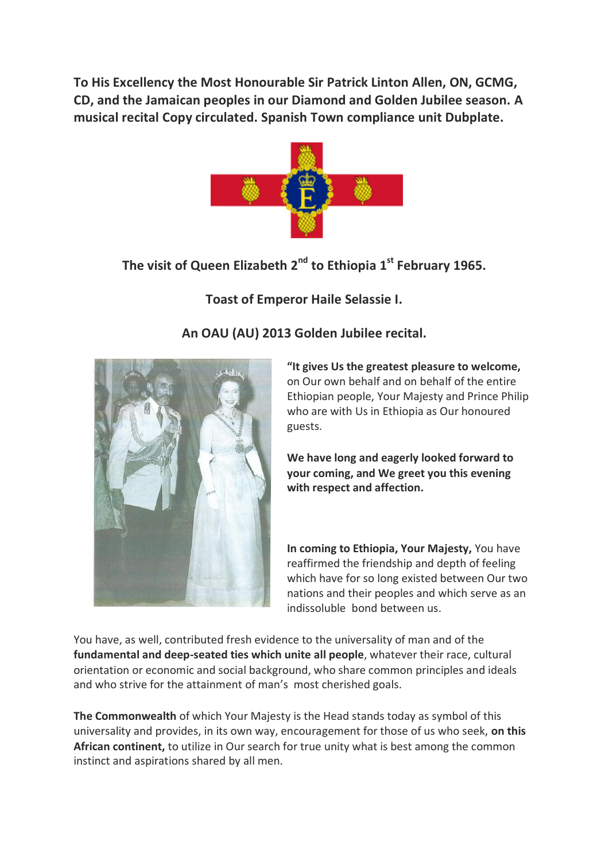**To His Excellency the Most Honourable Sir Patrick Linton Allen, ON, GCMG, CD, and the Jamaican peoples in our Diamond and Golden Jubilee season. A musical recital Copy circulated. Spanish Town compliance unit Dubplate.**



# **The visit of Queen Elizabeth 2nd to Ethiopia 1st February 1965.**

## **Toast of Emperor Haile Selassie I.**



## **An OAU (AU) 2013 Golden Jubilee recital.**

**"It gives Us the greatest pleasure to welcome,** on Our own behalf and on behalf of the entire Ethiopian people, Your Majesty and Prince Philip who are with Us in Ethiopia as Our honoured guests.

**We have long and eagerly looked forward to your coming, and We greet you this evening with respect and affection.**

**In coming to Ethiopia, Your Majesty,** You have reaffirmed the friendship and depth of feeling which have for so long existed between Our two nations and their peoples and which serve as an indissoluble bond between us.

You have, as well, contributed fresh evidence to the universality of man and of the **fundamental and deep-seated ties which unite all people**, whatever their race, cultural orientation or economic and social background, who share common principles and ideals and who strive for the attainment of man's most cherished goals.

**The Commonwealth** of which Your Majesty is the Head stands today as symbol of this universality and provides, in its own way, encouragement for those of us who seek, **on this African continent,** to utilize in Our search for true unity what is best among the common instinct and aspirations shared by all men.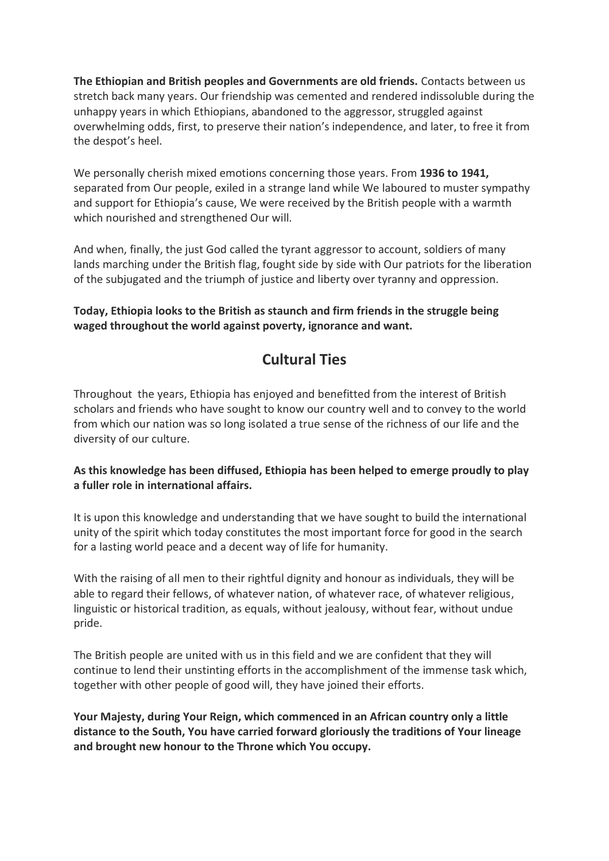**The Ethiopian and British peoples and Governments are old friends.** Contacts between us stretch back many years. Our friendship was cemented and rendered indissoluble during the unhappy years in which Ethiopians, abandoned to the aggressor, struggled against overwhelming odds, first, to preserve their nation's independence, and later, to free it from the despot's heel.

We personally cherish mixed emotions concerning those years. From **1936 to 1941,** separated from Our people, exiled in a strange land while We laboured to muster sympathy and support for Ethiopia's cause, We were received by the British people with a warmth which nourished and strengthened Our will.

And when, finally, the just God called the tyrant aggressor to account, soldiers of many lands marching under the British flag, fought side by side with Our patriots for the liberation of the subjugated and the triumph of justice and liberty over tyranny and oppression.

**Today, Ethiopia looks to the British as staunch and firm friends in the struggle being waged throughout the world against poverty, ignorance and want.**

## **Cultural Ties**

Throughout the years, Ethiopia has enjoyed and benefitted from the interest of British scholars and friends who have sought to know our country well and to convey to the world from which our nation was so long isolated a true sense of the richness of our life and the diversity of our culture.

#### **As this knowledge has been diffused, Ethiopia has been helped to emerge proudly to play a fuller role in international affairs.**

It is upon this knowledge and understanding that we have sought to build the international unity of the spirit which today constitutes the most important force for good in the search for a lasting world peace and a decent way of life for humanity.

With the raising of all men to their rightful dignity and honour as individuals, they will be able to regard their fellows, of whatever nation, of whatever race, of whatever religious, linguistic or historical tradition, as equals, without jealousy, without fear, without undue pride.

The British people are united with us in this field and we are confident that they will continue to lend their unstinting efforts in the accomplishment of the immense task which, together with other people of good will, they have joined their efforts.

**Your Majesty, during Your Reign, which commenced in an African country only a little distance to the South, You have carried forward gloriously the traditions of Your lineage and brought new honour to the Throne which You occupy.**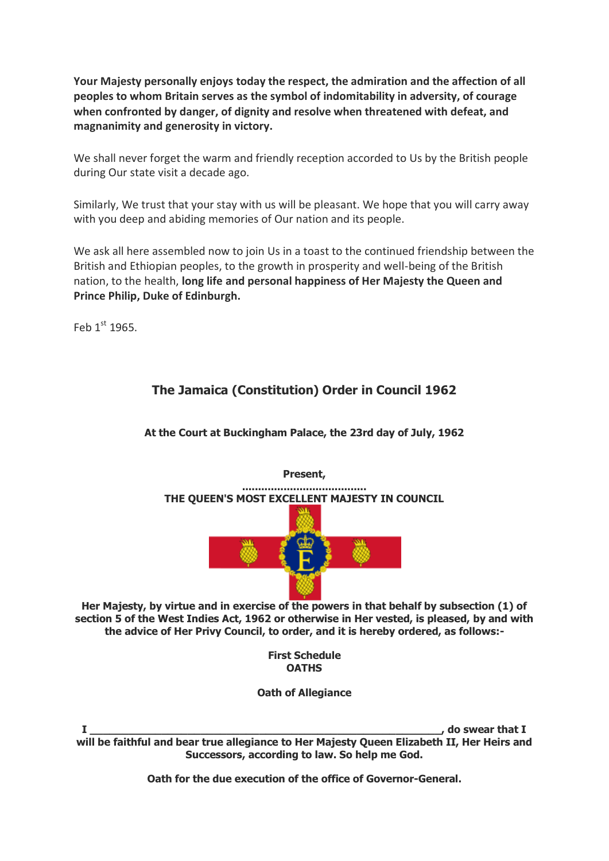**Your Majesty personally enjoys today the respect, the admiration and the affection of all peoples to whom Britain serves as the symbol of indomitability in adversity, of courage when confronted by danger, of dignity and resolve when threatened with defeat, and magnanimity and generosity in victory.**

We shall never forget the warm and friendly reception accorded to Us by the British people during Our state visit a decade ago.

Similarly, We trust that your stay with us will be pleasant. We hope that you will carry away with you deep and abiding memories of Our nation and its people.

We ask all here assembled now to join Us in a toast to the continued friendship between the British and Ethiopian peoples, to the growth in prosperity and well-being of the British nation, to the health, **long life and personal happiness of Her Majesty the Queen and Prince Philip, Duke of Edinburgh.**

Feb  $1<sup>st</sup>$  1965.

### **The Jamaica (Constitution) Order in Council 1962**

**At the Court at Buckingham Palace, the 23rd day of July, 1962** 



**Her Majesty, by virtue and in exercise of the powers in that behalf by subsection (1) of section 5 of the West Indies Act, 1962 or otherwise in Her vested, is pleased, by and with the advice of Her Privy Council, to order, and it is hereby ordered, as follows:-**

> **First Schedule OATHS**

**Oath of Allegiance**

**I \_\_\_\_\_\_\_\_\_\_\_\_\_\_\_\_\_\_\_\_\_\_\_\_\_\_\_\_\_\_\_\_\_\_\_\_\_\_\_\_\_\_\_\_\_\_\_\_\_\_\_\_\_\_, do swear that I will be faithful and bear true allegiance to Her Majesty Queen Elizabeth II, Her Heirs and Successors, according to law. So help me God.** 

**Oath for the due execution of the office of Governor-General.**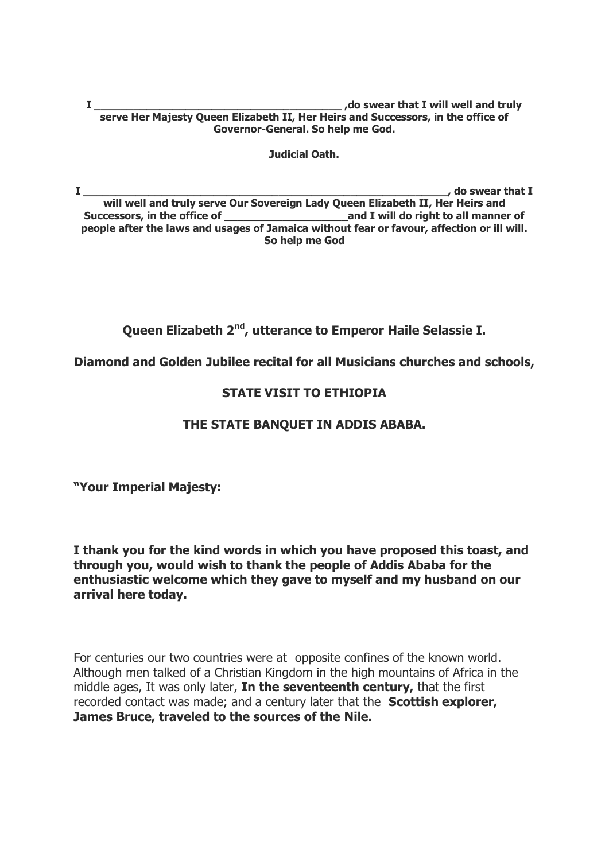**I \_\_\_\_\_\_\_\_\_\_\_\_\_\_\_\_\_\_\_\_\_\_\_\_\_\_\_\_\_\_\_\_\_\_\_\_\_\_ ,do swear that I will well and truly serve Her Majesty Queen Elizabeth II, Her Heirs and Successors, in the office of Governor-General. So help me God.** 

**Judicial Oath.**

**I \_\_\_\_\_\_\_\_\_\_\_\_\_\_\_\_\_\_\_\_\_\_\_\_\_\_\_\_\_\_\_\_\_\_\_\_\_\_\_\_\_\_\_\_\_\_\_\_\_\_\_\_\_\_\_\_, do swear that I will well and truly serve Our Sovereign Lady Queen Elizabeth II, Her Heirs and**  Successors, in the office of **will allow the state of the state of all manner of**  $\overline{\phantom{a}}$ **people after the laws and usages of Jamaica without fear or favour, affection or ill will. So help me God**

**Queen Elizabeth 2nd, utterance to Emperor Haile Selassie I.**

**Diamond and Golden Jubilee recital for all Musicians churches and schools,** 

#### **STATE VISIT TO ETHIOPIA**

#### **THE STATE BANQUET IN ADDIS ABABA.**

**"Your Imperial Majesty:**

**I thank you for the kind words in which you have proposed this toast, and through you, would wish to thank the people of Addis Ababa for the enthusiastic welcome which they gave to myself and my husband on our arrival here today.**

For centuries our two countries were at opposite confines of the known world. Although men talked of a Christian Kingdom in the high mountains of Africa in the middle ages, It was only later, **In the seventeenth century,** that the first recorded contact was made; and a century later that the **Scottish explorer, James Bruce, traveled to the sources of the Nile.**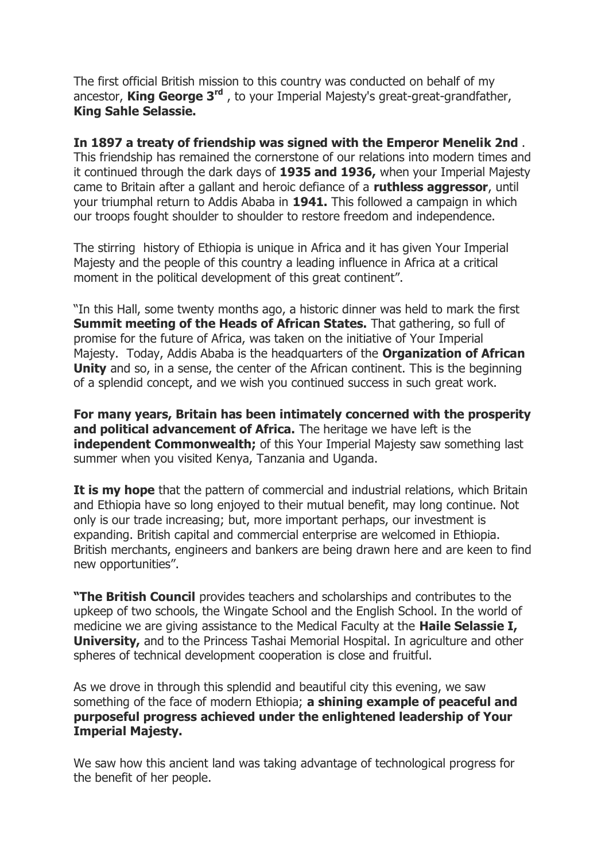The first official British mission to this country was conducted on behalf of my ancestor, **King George 3rd** , to your Imperial Majesty's great-great-grandfather, **King Sahle Selassie.**

**In 1897 a treaty of friendship was signed with the Emperor Menelik 2nd** . This friendship has remained the cornerstone of our relations into modern times and it continued through the dark days of **1935 and 1936,** when your Imperial Majesty came to Britain after a gallant and heroic defiance of a **ruthless aggressor**, until your triumphal return to Addis Ababa in **1941.** This followed a campaign in which our troops fought shoulder to shoulder to restore freedom and independence.

The stirring history of Ethiopia is unique in Africa and it has given Your Imperial Majesty and the people of this country a leading influence in Africa at a critical moment in the political development of this great continent".

"In this Hall, some twenty months ago, a historic dinner was held to mark the first **Summit meeting of the Heads of African States.** That gathering, so full of promise for the future of Africa, was taken on the initiative of Your Imperial Majesty. Today, Addis Ababa is the headquarters of the **Organization of African Unity** and so, in a sense, the center of the African continent. This is the beginning of a splendid concept, and we wish you continued success in such great work.

**For many years, Britain has been intimately concerned with the prosperity and political advancement of Africa.** The heritage we have left is the **independent Commonwealth:** of this Your Imperial Majesty saw something last summer when you visited Kenya, Tanzania and Uganda.

**It is my hope** that the pattern of commercial and industrial relations, which Britain and Ethiopia have so long enjoyed to their mutual benefit, may long continue. Not only is our trade increasing; but, more important perhaps, our investment is expanding. British capital and commercial enterprise are welcomed in Ethiopia. British merchants, engineers and bankers are being drawn here and are keen to find new opportunities".

**"The British Council** provides teachers and scholarships and contributes to the upkeep of two schools, the Wingate School and the English School. In the world of medicine we are giving assistance to the Medical Faculty at the **Haile Selassie I, University,** and to the Princess Tashai Memorial Hospital. In agriculture and other spheres of technical development cooperation is close and fruitful.

As we drove in through this splendid and beautiful city this evening, we saw something of the face of modern Ethiopia; **a shining example of peaceful and purposeful progress achieved under the enlightened leadership of Your Imperial Majesty.** 

We saw how this ancient land was taking advantage of technological progress for the benefit of her people.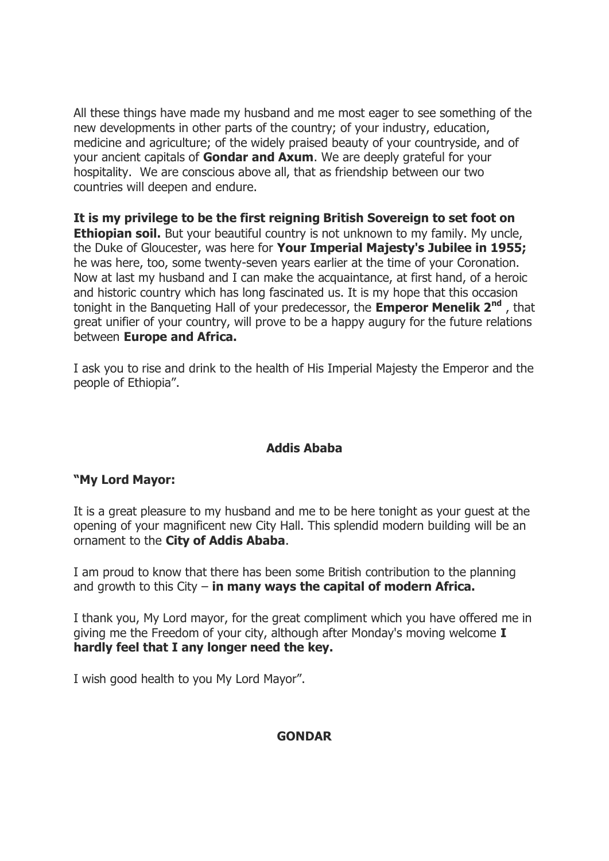All these things have made my husband and me most eager to see something of the new developments in other parts of the country; of your industry, education, medicine and agriculture; of the widely praised beauty of your countryside, and of your ancient capitals of **Gondar and Axum**. We are deeply grateful for your hospitality. We are conscious above all, that as friendship between our two countries will deepen and endure.

**It is my privilege to be the first reigning British Sovereign to set foot on Ethiopian soil.** But your beautiful country is not unknown to my family. My uncle, the Duke of Gloucester, was here for **Your Imperial Majesty's Jubilee in 1955;** he was here, too, some twenty-seven years earlier at the time of your Coronation. Now at last my husband and I can make the acquaintance, at first hand, of a heroic and historic country which has long fascinated us. It is my hope that this occasion tonight in the Banqueting Hall of your predecessor, the **Emperor Menelik 2nd** , that great unifier of your country, will prove to be a happy augury for the future relations between **Europe and Africa.**

I ask you to rise and drink to the health of His Imperial Majesty the Emperor and the people of Ethiopia".

#### **Addis Ababa**

### **"My Lord Mayor:**

It is a great pleasure to my husband and me to be here tonight as your guest at the opening of your magnificent new City Hall. This splendid modern building will be an ornament to the **City of Addis Ababa**.

I am proud to know that there has been some British contribution to the planning and growth to this City – **in many ways the capital of modern Africa.**

I thank you, My Lord mayor, for the great compliment which you have offered me in giving me the Freedom of your city, although after Monday's moving welcome **I hardly feel that I any longer need the key.**

I wish good health to you My Lord Mayor".

#### **GONDAR**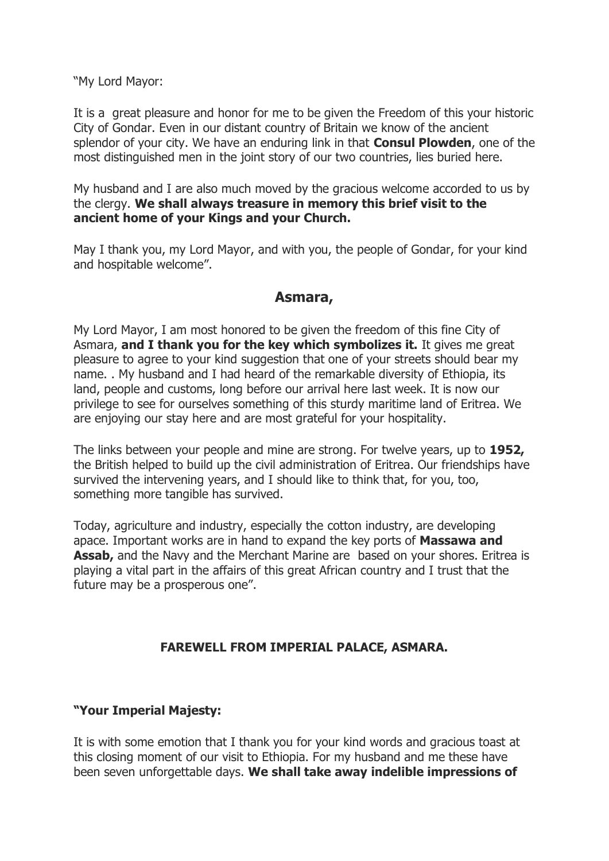"My Lord Mayor:

It is a great pleasure and honor for me to be given the Freedom of this your historic City of Gondar. Even in our distant country of Britain we know of the ancient splendor of your city. We have an enduring link in that **Consul Plowden**, one of the most distinguished men in the joint story of our two countries, lies buried here.

My husband and I are also much moved by the gracious welcome accorded to us by the clergy. **We shall always treasure in memory this brief visit to the ancient home of your Kings and your Church.**

May I thank you, my Lord Mayor, and with you, the people of Gondar, for your kind and hospitable welcome".

## **Asmara,**

My Lord Mayor, I am most honored to be given the freedom of this fine City of Asmara, **and I thank you for the key which symbolizes it.** It gives me great pleasure to agree to your kind suggestion that one of your streets should bear my name. . My husband and I had heard of the remarkable diversity of Ethiopia, its land, people and customs, long before our arrival here last week. It is now our privilege to see for ourselves something of this sturdy maritime land of Eritrea. We are enjoying our stay here and are most grateful for your hospitality.

The links between your people and mine are strong. For twelve years, up to **1952,** the British helped to build up the civil administration of Eritrea. Our friendships have survived the intervening years, and I should like to think that, for you, too, something more tangible has survived.

Today, agriculture and industry, especially the cotton industry, are developing apace. Important works are in hand to expand the key ports of **Massawa and Assab,** and the Navy and the Merchant Marine are based on your shores. Eritrea is playing a vital part in the affairs of this great African country and I trust that the future may be a prosperous one".

#### **FAREWELL FROM IMPERIAL PALACE, ASMARA.**

#### **"Your Imperial Majesty:**

It is with some emotion that I thank you for your kind words and gracious toast at this closing moment of our visit to Ethiopia. For my husband and me these have been seven unforgettable days. **We shall take away indelible impressions of**